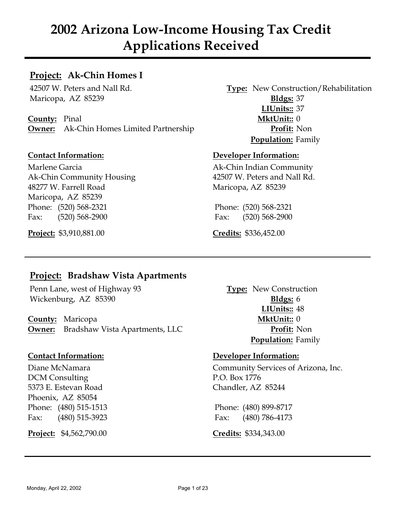# **Project: Ak-Chin Homes I**

Maricopa, AZ 85239 **Bldgs:** 37

**County:** Pinal **MktUnit::** 0 **Owner:** Ak-Chin Homes Limited Partnership **Profit:** Non

Marlene Garcia **Ak-Chin Indian Community** Ak-Chin Community Housing 42507 W. Peters and Nall Rd. 48277 W. Farrell Road Maricopa, AZ 85239 Maricopa, AZ 85239 Phone: (520) 568-2321 Phone: (520) 568-2321 Fax: (520) 568-2900 Fax: (520) 568-2900

**Project:** \$3,910,881.00 **Credits:** \$336,452.00

42507 W. Peters and Nall Rd. **Type:** New Construction/Rehabilitation **LIUnits::** 37 **Population:** Family

### **Contact Information: Developer Information:**

# **Project: Bradshaw Vista Apartments**

Penn Lane, west of Highway 93 **Type:** New Construction Wickenburg, AZ 85390 **Bldgs:** 6

**County:** Maricopa **MktUnit::** 0 **Owner:** Bradshaw Vista Apartments, LLC **Profit:** Non

DCM Consulting P.O. Box 1776 5373 E. Estevan Road Chandler, AZ 85244 Phoenix, AZ 85054 Phone: (480) 515-1513 Phone: (480) 899-8717 Fax: (480) 515-3923 Fax: (480) 786-4173

**Project:** \$4,562,790.00 **Credits:** \$334,343.00

**LIUnits::** 48 **Population:** Family

### **Contact Information: Developer Information:**

Diane McNamara Community Services of Arizona, Inc.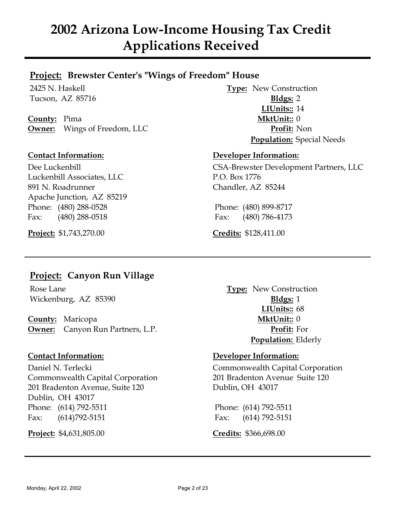## **Project: Brewster Center's "Wings of Freedom" House**

**County:** Pima **MktUnit::** 0 **Owner:** Wings of Freedom, LLC **Profit:** Non

Luckenbill Associates, LLC P.O. Box 1776 891 N. Roadrunner Chandler, AZ 85244 Apache Junction, AZ 85219 Phone: (480) 288-0528 Phone: (480) 899-8717 Fax: (480) 288-0518 Fax: (480) 786-4173

**Project:** \$1,743,270.00 **Credits:** \$128,411.00

2425 N. Haskell **Type:** New Construction Tucson, AZ 85716 **Bldgs:** 2 **LIUnits::** 14 **Population:** Special Needs

### **Contact Information: Developer Information:**

Dee Luckenbill CSA-Brewster Development Partners, LLC

# **Project: Canyon Run Village**

Wickenburg, AZ 85390 **Bldgs:** 1

**County:** Maricopa **MktUnit::** 0 **Owner:** Canyon Run Partners, L.P. **Profit:** For

Commonwealth Capital Corporation 201 Bradenton Avenue Suite 120 201 Bradenton Avenue, Suite 120 Dublin, OH 43017 Dublin, OH 43017 Phone: (614) 792-5511 Phone: (614) 792-5511 Fax: (614)792-5151 Fax: (614) 792-5151

**Project:** \$4,631,805.00 **Credits:** \$366,698.00

Rose Lane **Type:** New Construction **LIUnits::** 68 **Population:** Elderly

### **Contact Information: Developer Information:**

Daniel N. Terlecki Commonwealth Capital Corporation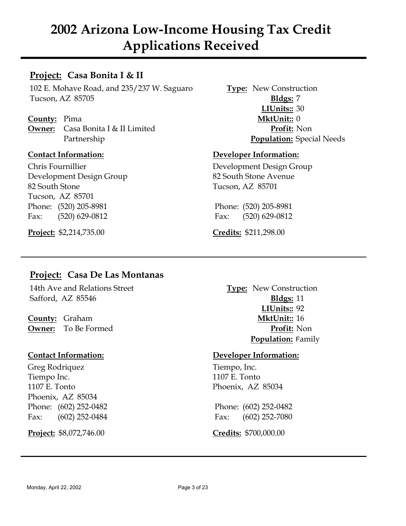## **Project: Casa Bonita I & II**

102 E. Mohave Road, and 235/237 W. Saguaro **Type:** New Construction Tucson, AZ 85705 **Bldgs:** 7

**County:** Pima **MktUnit::** 0 **Owner:** Casa Bonita I & II Limited **Profit:** Non

Chris Fournillier Development Design Group Development Design Group 82 South Stone Avenue 82 South Stone Tucson, AZ 85701 Tucson, AZ 85701 Phone: (520) 205-8981 Phone: (520) 205-8981 Fax: (520) 629-0812 Fax: (520) 629-0812

**Project:** \$2,214,735.00 **Credits:** \$211,298.00

**LIUnits::** 30 Partnership **Population:** Special Needs

### **Contact Information: Developer Information:**

# **Project: Casa De Las Montanas**

14th Ave and Relations Street **Type:** New Construction Safford, AZ 85546 **Bldgs:** 11

**County:** Graham **MktUnit::** 16 **Owner:** To Be Formed **Profit:** Non

Greg Rodriquez Tiempo, Inc. Tiempo Inc. 1107 E. Tonto 1107 E. Tonto **Phoenix**, AZ 85034 Phoenix, AZ 85034 Phone: (602) 252-0482 Phone: (602) 252-0482 Fax: (602) 252-0484 Fax: (602) 252-7080

**Project:** \$8,072,746.00 **Credits:** \$700,000.00

**LIUnits::** 92 **Population:** Family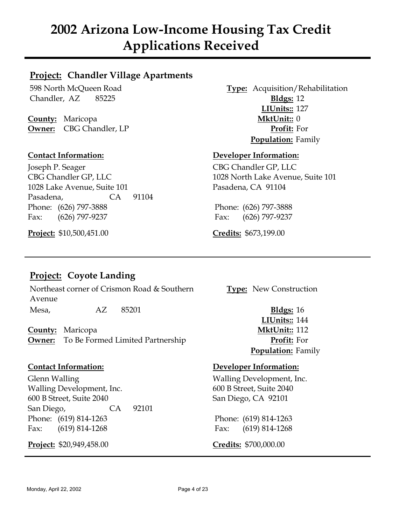# **Project: Chandler Village Apartments**

Chandler, AZ 85225 **Bldgs:** 12

**County:** Maricopa **MktUnit::** 0 **Owner:** CBG Chandler, LP **Profit:** For

Joseph P. Seager CBG Chandler GP, LLC CBG Chandler GP, LLC 1028 North Lake Avenue, Suite 101 1028 Lake Avenue, Suite 101 Pasadena, CA 91104 Pasadena, CA 91104 Phone: (626) 797-3888 Phone: (626) 797-3888 Fax: (626) 797-9237 Fax: (626) 797-9237

**Project:** \$10,500,451.00 **Credits:** \$673,199.00

598 North McQueen Road **Type:** Acquisition/Rehabilitation **LIUnits::** 127 **Population:** Family

### **Contact Information: Developer Information:**

# **Project: Coyote Landing**

Northeast corner of Crismon Road & Southern **Type:** New Construction Avenue Mesa, AZ 85201 **Bldgs:** 16

**County:** Maricopa **MktUnit::** 112 **Owner:** To Be Formed Limited Partnership **Profit:** For

Glenn Walling **Contains Containers** Walling Development, Inc. Walling Development, Inc. 600 B Street, Suite 2040 600 B Street, Suite 2040 San Diego, CA 92101 San Diego, CA 92101 Phone: (619) 814-1263 Phone: (619) 814-1263 Fax: (619) 814-1268 Fax: (619) 814-1268

**Project:** \$20,949,458.00 **Credits:** \$700,000.00

**LIUnits::** 144 **Population:** Family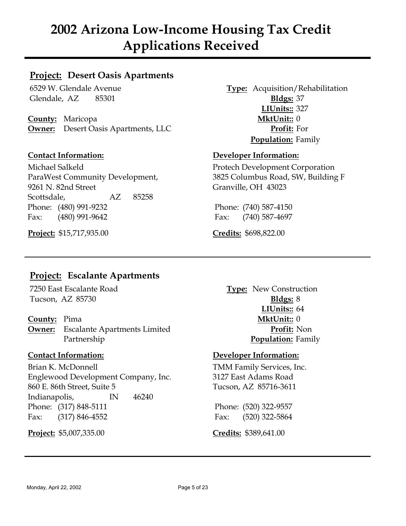# **Project: Desert Oasis Apartments**

Glendale, AZ 85301 **Bldgs:** 37

**County:** Maricopa **MktUnit::** 0 **Owner:** Desert Oasis Apartments, LLC **Profit:** For

Michael Salkeld Protech Development Corporation 9261 N. 82nd Street Granville, OH 43023 Scottsdale, AZ 85258 Phone: (480) 991-9232 Phone: (740) 587-4150 Fax: (480) 991-9642 Fax: (740) 587-4697

**Project:** \$15,717,935.00 **Credits:** \$698,822.00

6529 W. Glendale Avenue **Type:** Acquisition/Rehabilitation **LIUnits::** 327 **Population:** Family

### **Contact Information: Developer Information:**

ParaWest Community Development, 3825 Columbus Road, SW, Building F

# **Project: Escalante Apartments**

Tucson, AZ 85730 **Bldgs:** 8

**Owner:** Escalante Apartments Limited **Profit:** Non Partnership **Population:** Family

Brian K. McDonnell TMM Family Services, Inc. Englewood Development Company, Inc. 3127 East Adams Road 860 E. 86th Street, Suite 5 Tucson, AZ 85716-3611 Indianapolis, IN 46240 Phone: (317) 848-5111 Phone: (520) 322-9557 Fax: (317) 846-4552 Fax: (520) 322-5864

**Project:** \$5,007,335.00 **Credits:** \$389,641.00

7250 East Escalante Road **Type:** New Construction **LIUnits::** 64 **County:** Pima **MktUnit::** 0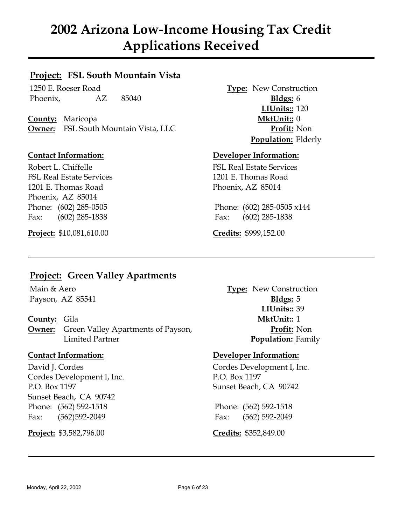# **Project: FSL South Mountain Vista**

1250 E. Roeser Road **Type:** New Construction Phoenix, AZ 85040 **Bldgs:** 6

**County:** Maricopa **MktUnit::** 0 **Owner:** FSL South Mountain Vista, LLC **Profit:** Non

Robert L. Chiffelle FSL Real Estate Services FSL Real Estate Services 1201 E. Thomas Road 1201 E. Thomas Road **Phoenix, AZ 85014** Phoenix, AZ 85014 Fax: (602) 285-1838 Fax: (602) 285-1838

**Project:** \$10,081,610.00 **Credits:** \$999,152.00

**LIUnits::** 120 **Population:** Elderly

### **Contact Information: Developer Information:**

Phone: (602) 285-0505 Phone: (602) 285-0505 x144

# **Project: Green Valley Apartments**

**Owner:** Green Valley Apartments of Payson, **Profit:** Non Limited Partner **Population:** Family

Cordes Development I, Inc. P.O. Box 1197 P.O. Box 1197 Sunset Beach, CA 90742 Sunset Beach, CA 90742 Phone: (562) 592-1518 Phone: (562) 592-1518 Fax: (562)592-2049 Fax: (562) 592-2049

**Project:** \$3,582,796.00 **Credits:** \$352,849.00

Main & Aero **Type:** New Construction Payson, AZ 85541 **Bldgs:** 5 **LIUnits::** 39 **County:** Gila **MktUnit::** 1

### **Contact Information: Developer Information:**

David J. Cordes Cordes Development I, Inc.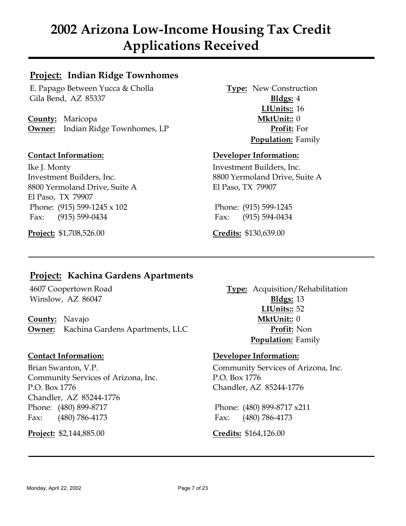# **Project: Indian Ridge Townhomes**

E. Papago Between Yucca & Cholla **Type:** New Construction Gila Bend, AZ 85337 **Bldgs:** 4

**County:** Maricopa **MktUnit::** 0 **Owner:** Indian Ridge Townhomes, LP **Profit:** For

Ike J. Monty **Investment Builders**, Inc. 8800 Yermoland Drive, Suite A El Paso, TX 79907 El Paso, TX 79907 Phone: (915) 599-1245 x 102 Phone: (915) 599-1245 Fax: (915) 599-0434 Fax: (915) 594-0434

**Project:** \$1,708,526.00 **Credits:** \$130,639.00

**LIUnits::** 16 **Population:** Family

### **Contact Information: Developer Information:**

Investment Builders, Inc. 8800 Yermoland Drive, Suite A

# **Project: Kachina Gardens Apartments**

Winslow, AZ 86047 **Bldgs:** 13

**County:** Navajo **MktUnit::** 0 **Owner:** Kachina Gardens Apartments, LLC **Profit:** Non

Community Services of Arizona, Inc. P.O. Box 1776 P.O. Box 1776 Chandler, AZ 85244-1776 Chandler, AZ 85244-1776 Phone: (480) 899-8717 Phone: (480) 899-8717 x211 Fax: (480) 786-4173 Fax: (480) 786-4173

**Project:** \$2,144,885.00 **Credits:** \$164,126.00

4607 Coopertown Road **Type:** Acquisition/Rehabilitation **LIUnits::** 52 **Population:** Family

### **Contact Information: Developer Information:**

Brian Swanton, V.P. **Community Services of Arizona**, Inc.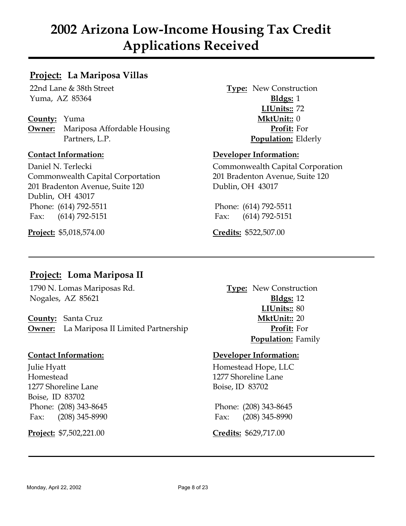# **Project: La Mariposa Villas**

Yuma, AZ 85364 **Bldgs:** 1

**County:** Yuma **MktUnit::** 0 **Owner:** Mariposa Affordable Housing **Profit:** For Partners, L.P. **Population:** Elderly

Daniel N. Terlecki Commonwealth Capital Corporation Commonwealth Capital Corportation 201 Bradenton Avenue, Suite 120 201 Bradenton Avenue, Suite 120 Dublin, OH 43017 Dublin, OH 43017 Phone: (614) 792-5511 Phone: (614) 792-5511 Fax: (614) 792-5151 Fax: (614) 792-5151

**Project:** \$5,018,574.00 **Credits:** \$522,507.00

22nd Lane & 38th Street **Type:** New Construction **LIUnits::** 72

### **Contact Information: Developer Information:**

# **Project: Loma Mariposa II**

1790 N. Lomas Mariposas Rd. **Type:** New Construction Nogales, AZ 85621 **Bldgs:** 12

**County:** Santa Cruz **MktUnit::** 20 **Owner:** La Mariposa II Limited Partnership **Profit:** For

Homestead 1277 Shoreline Lane 1277 Shoreline Lane Boise, ID 83702 Boise, ID 83702 Phone: (208) 343-8645 Phone: (208) 343-8645 Fax: (208) 345-8990 Fax: (208) 345-8990

**Project:** \$7,502,221.00 **Credits:** \$629,717.00

**LIUnits::** 80 **Population:** Family

### **Contact Information: Developer Information:**

Julie Hyatt Homestead Hope, LLC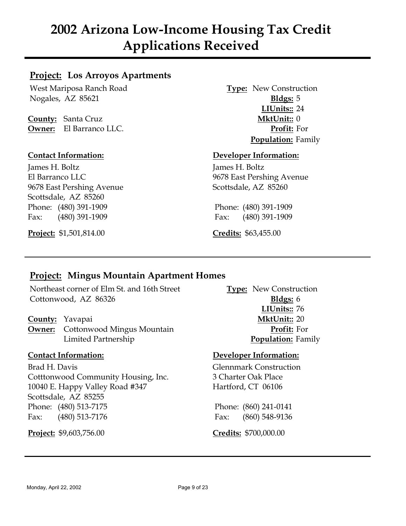## **Project: Los Arroyos Apartments**

West Mariposa Ranch Road **Type:** New Construction Nogales, AZ 85621 **Bldgs:** 5

**County:** Santa Cruz **MktUnit::** 0 **Owner:** El Barranco LLC. **Profit:** For

James H. Boltz James H. Boltz El Barranco LLC 9678 East Pershing Avenue 9678 East Pershing Avenue Scottsdale, AZ 85260 Scottsdale, AZ 85260 Phone: (480) 391-1909 Phone: (480) 391-1909 Fax: (480) 391-1909 Fax: (480) 391-1909

**Project:** \$1,501,814.00 **Credits:** \$63,455.00

**LIUnits::** 24 **Population:** Family

### **Contact Information: Developer Information:**

# **Project: Mingus Mountain Apartment Homes**

Northeast corner of Elm St. and 16th Street **Type:** New Construction Cottonwood, AZ 86326 **Bldgs:** 6

**Owner:** Cottonwood Mingus Mountain **Profit:** For Limited Partnership **Population:** Family

Brad H. Davis Glennmark Construction Cotttonwood Community Housing, Inc. 3 Charter Oak Place 10040 E. Happy Valley Road #347 Hartford, CT 06106 Scottsdale, AZ 85255 Phone: (480) 513-7175 Phone: (860) 241-0141 Fax: (480) 513-7176 Fax: (860) 548-9136

**Project:** \$9,603,756.00 **Credits:** \$700,000.00

**LIUnits::** 76 **County:** Yavapai **MktUnit::** 20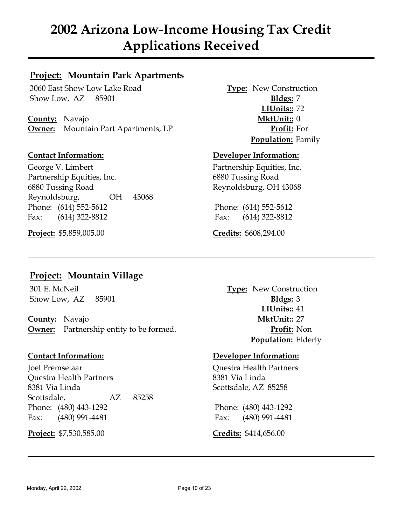# **Project: Mountain Park Apartments**

3060 East Show Low Lake Road **Type:** New Construction Show Low, AZ 85901 **Bldgs:** 7

**County:** Navajo **MktUnit::** 0 **Owner:** Mountain Part Apartments, LP **Profit:** For

George V. Limbert Partnership Equities, Inc. Partnership Equities, Inc. 6880 Tussing Road 6880 Tussing Road Reynoldsburg, OH 43068 Reynoldsburg, OH 43068 Phone: (614) 552-5612 Phone: (614) 552-5612 Fax: (614) 322-8812 Fax: (614) 322-8812

**Project:** \$5,859,005.00 **Credits:** \$608,294.00

**LIUnits::** 72 **Population:** Family

### **Contact Information: Developer Information:**

# **Project: Mountain Village**

Show Low, AZ 85901 **Bldgs:** 3

**County:** Navajo **MktUnit::** 27 **Owner:** Partnership entity to be formed. **Profit:** Non

Joel Premselaar Questra Health Partners Questra Health Partners 8381 Via Linda 8381 Via Linda Scottsdale, AZ 85258 Scottsdale, AZ 85258 Phone: (480) 443-1292 Phone: (480) 443-1292 Fax: (480) 991-4481 Fax: (480) 991-4481

**Project:** \$7,530,585.00 **Credits:** \$414,656.00

301 E. McNeil **Type:** New Construction **LIUnits::** 41 **Population:** Elderly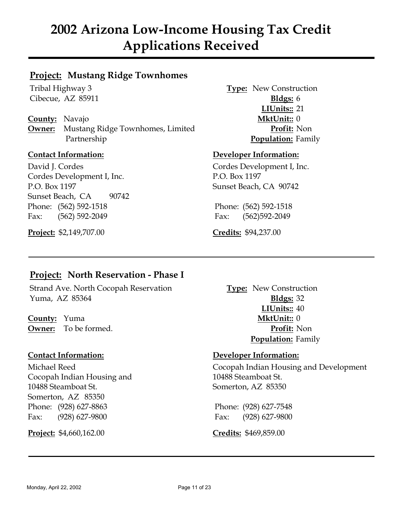# **Project: Mustang Ridge Townhomes**

**County:** Navajo **MktUnit::** 0 **Owner:** Mustang Ridge Townhomes, Limited **Profit:** Non Partnership **Population:** Family

David J. Cordes Cordes Development I, Inc. Cordes Development I, Inc. P.O. Box 1197 P.O. Box 1197 Sunset Beach, CA 90742 Sunset Beach, CA 90742 Phone: (562) 592-1518 Phone: (562) 592-1518 Fax: (562) 592-2049 Fax: (562)592-2049

**Project:** \$2,149,707.00 **Credits:** \$94,237.00

Tribal Highway 3 **Type:** New Construction Cibecue, AZ 85911 **Bldgs:** 6 **LIUnits::** 21

### **Contact Information: Developer Information:**

# **Project: North Reservation - Phase I**

Strand Ave. North Cocopah Reservation **Type:** New Construction Yuma, AZ 85364 **Bldgs:** 32

**County:** Yuma **MktUnit::** 0

Cocopah Indian Housing and 10488 Steamboat St. 10488 Steamboat St. Somerton, AZ 85350 Somerton, AZ 85350 Phone: (928) 627-8863 Phone: (928) 627-7548 Fax: (928) 627-9800 Fax: (928) 627-9800

**Project:** \$4,660,162.00 **Credits:** \$469,859.00

**LIUnits::** 40 **Owner:** To be formed. **Profit:** Non **Population:** Family

### **Contact Information: Developer Information:**

Michael Reed Cocopah Indian Housing and Development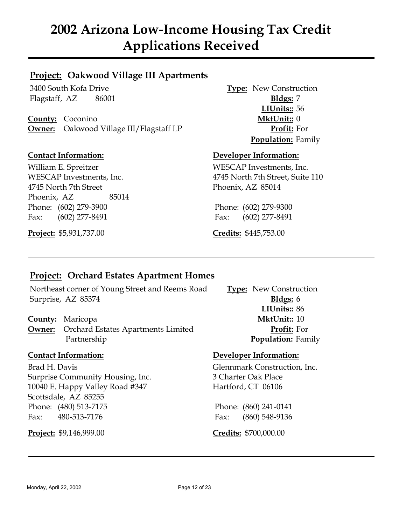# **Project: Oakwood Village III Apartments**

Flagstaff, AZ 86001 **Bldgs:** 7

**County:** Coconino **MktUnit::** 0 **Owner:** Oakwood Village III/Flagstaff LP **Profit:** For

William E. Spreitzer WESCAP Investments, Inc. 4745 North 7th Street Phoenix, AZ 85014 Phoenix, AZ 85014 Phone: (602) 279-3900 Phone: (602) 279-9300 Fax: (602) 277-8491 Fax: (602) 277-8491

**Project:** \$5,931,737.00 **Credits:** \$445,753.00

3400 South Kofa Drive **Type:** New Construction **LIUnits::** 56 **Population:** Family

### **Contact Information: Developer Information:**

WESCAP Investments, Inc. 4745 North 7th Street, Suite 110

# **Project: Orchard Estates Apartment Homes**

Northeast corner of Young Street and Reems Road **Type:** New Construction Surprise, AZ 85374 **Bldgs:** 6

**Owner:** Orchard Estates Apartments Limited **Profit:** For Partnership **Population:** Family

Brad H. Davis Glennmark Construction, Inc. Surprise Community Housing, Inc. 3 Charter Oak Place 10040 E. Happy Valley Road #347 Hartford, CT 06106 Scottsdale, AZ 85255 Phone: (480) 513-7175 Phone: (860) 241-0141 Fax: 480-513-7176 Fax: (860) 548-9136

**Project:** \$9,146,999.00 **Credits:** \$700,000.00

**LIUnits::** 86 **County:** Maricopa **MktUnit::** 10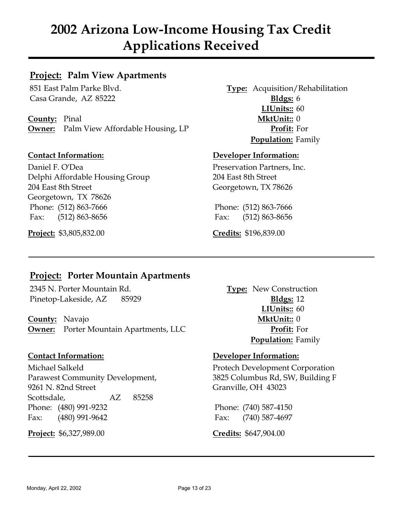## **Project: Palm View Apartments**

Casa Grande, AZ 85222 **Bldgs:** 6

**County:** Pinal **MktUnit::** 0 **Owner:** Palm View Affordable Housing, LP **Profit:** For

Daniel F. O'Dea Preservation Partners, Inc. Delphi Affordable Housing Group 204 East 8th Street 204 East 8th Street Georgetown, TX 78626 Georgetown, TX 78626 Phone: (512) 863-7666 Phone: (512) 863-7666 Fax: (512) 863-8656 Fax: (512) 863-8656

**Project:** \$3,805,832.00 **Credits:** \$196,839.00

851 East Palm Parke Blvd. **Type:** Acquisition/Rehabilitation **LIUnits::** 60 **Population:** Family

### **Contact Information: Developer Information:**

# **Project: Porter Mountain Apartments**

2345 N. Porter Mountain Rd. **Type:** New Construction Pinetop-Lakeside, AZ 85929 **Bldgs:** 12

**County:** Navajo **MktUnit::** 0 **Owner:** Porter Mountain Apartments, LLC **Profit:** For

Michael Salkeld Protech Development Corporation Parawest Community Development, 3825 Columbus Rd, SW, Building F 9261 N. 82nd Street Granville, OH 43023 Scottsdale, AZ 85258 Phone: (480) 991-9232 Phone: (740) 587-4150 Fax: (480) 991-9642 Fax: (740) 587-4697

**Project:** \$6,327,989.00 **Credits:** \$647,904.00

**LIUnits::** 60 **Population:** Family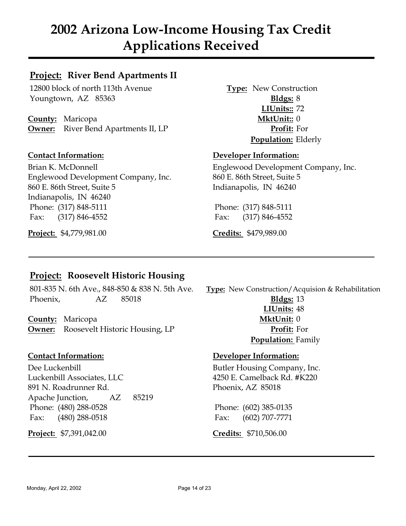# **Project: River Bend Apartments II**

12800 block of north 113th Avenue **Type:** New Construction Youngtown, AZ 85363 **Bldgs:** 8

**County:** Maricopa **MktUnit::** 0 **Owner:** River Bend Apartments II, LP **Profit:** For

Brian K. McDonnell Englewood Development Company, Inc. Englewood Development Company, Inc. 860 E. 86th Street, Suite 5 860 E. 86th Street, Suite 5 Indianapolis, IN 46240 Indianapolis, IN 46240 Phone: (317) 848-5111 Phone: (317) 848-5111 Fax: (317) 846-4552 Fax: (317) 846-4552

**Project:** \$4,779,981.00 **Credits:** \$479,989.00

**LIUnits::** 72 **Population:** Elderly

### **Contact Information: Developer Information:**

# **Project: Roosevelt Historic Housing**

801-835 N. 6th Ave., 848-850 & 838 N. 5th Ave. **Type:** New Construction/Acquision & Rehabilitation Phoenix, AZ 85018 **Bldgs:** 13

**County:** Maricopa **MktUnit:** 0 **Owner:** Roosevelt Historic Housing, LP **Profit:** For

Dee Luckenbill Butler Housing Company, Inc. Luckenbill Associates, LLC 4250 E. Camelback Rd. #K220 891 N. Roadrunner Rd. Phoenix, AZ 85018 Apache Junction, AZ 85219 Phone: (480) 288-0528 Phone: (602) 385-0135 Fax: (480) 288-0518 Fax: (602) 707-7771

**Project:** \$7,391,042.00 **Credits:** \$710,506.00

**LIUnits:** 48

**Population:** Family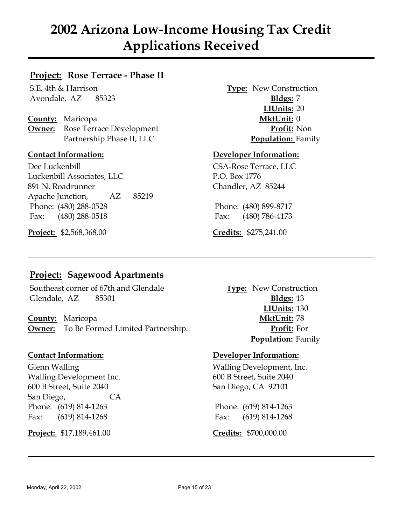# **Project: Rose Terrace - Phase II**

Avondale, AZ 85323 **Bldgs:** 7

**County:** Maricopa **MktUnit:** 0 **Owner:** Rose Terrace Development **Profit:** Non Partnership Phase II, LLC **Population:** Family

Dee Luckenbill CSA-Rose Terrace, LLC Luckenbill Associates, LLC P.O. Box 1776 891 N. Roadrunner Chandler, AZ 85244 Apache Junction, AZ 85219 Phone: (480) 288-0528 Phone: (480) 899-8717 Fax: (480) 288-0518 Fax: (480) 786-4173

**Project:** \$2,568,368.00 **Credits:** \$275,241.00

S.E. 4th & Harrison **Type:** New Construction **LIUnits:** 20

### **Contact Information: Developer Information:**

# **Project: Sagewood Apartments**

Southeast corner of 67th and Glendale **Type:** New Construction Glendale, AZ 85301 **Bldgs:** 13

**County:** Maricopa **MktUnit:** 78 **Owner:** To Be Formed Limited Partnership. **Profit:** For

Walling Development Inc. 600 B Street, Suite 2040 600 B Street, Suite 2040 San Diego, CA 92101 San Diego, CA Phone: (619) 814-1263 Phone: (619) 814-1263 Fax: (619) 814-1268 Fax: (619) 814-1268

**Project:** \$17,189,461.00 **Credits:** \$700,000.00

**LIUnits:** 130 **Population:** Family

### **Contact Information: Developer Information:**

Glenn Walling **Communist Communist Communist Communist Communist Communist Communist Communist Communist Communist Communist Communist Communist Communist Communist Communist Communist Communist Communist Communist Communi**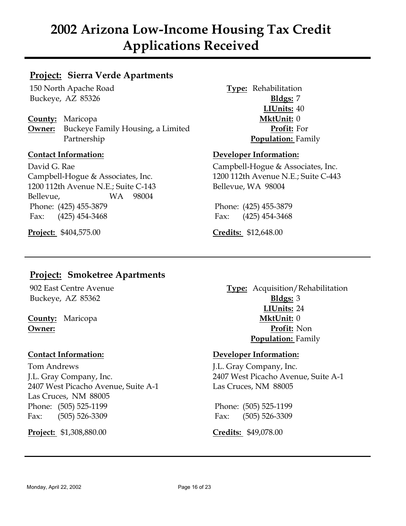## **Project: Sierra Verde Apartments**

150 North Apache Road **Type:** Rehabilitation Buckeye, AZ 85326 **Bldgs:** 7

**County:** Maricopa **MktUnit:** 0 **Owner:** Buckeye Family Housing, a Limited **Profit:** For Partnership **Population:** Family

David G. Rae Campbell-Hogue & Associates, Inc. Campbell-Hogue & Associates, Inc. 1200 112th Avenue N.E.; Suite C-443 1200 112th Avenue N.E.; Suite C-143 Bellevue, WA 98004 Bellevue, WA 98004 Phone: (425) 455-3879 Phone: (425) 455-3879 Fax: (425) 454-3468 Fax: (425) 454-3468

**Project:** \$404,575.00 **Credits:** \$12,648.00

**LIUnits:** 40

### **Contact Information: Developer Information:**

# **Project: Smoketree Apartments**

Buckeye, AZ 85362 **Bldgs:** 3

Tom Andrews J.L. Gray Company, Inc. 2407 West Picacho Avenue, Suite A-1 Las Cruces, NM 88005 Las Cruces, NM 88005 Phone: (505) 525-1199 Phone: (505) 525-1199 Fax: (505) 526-3309 Fax: (505) 526-3309

**Project:** \$1,308,880.00 **Credits:** \$49,078.00

902 East Centre Avenue **Type:** Acquisition/Rehabilitation **LIUnits:** 24 **County:** Maricopa **MktUnit:** 0 **Owner: Profit:** Non **Population:** Family

### **Contact Information: Developer Information:**

J.L. Gray Company, Inc. 2407 West Picacho Avenue, Suite A-1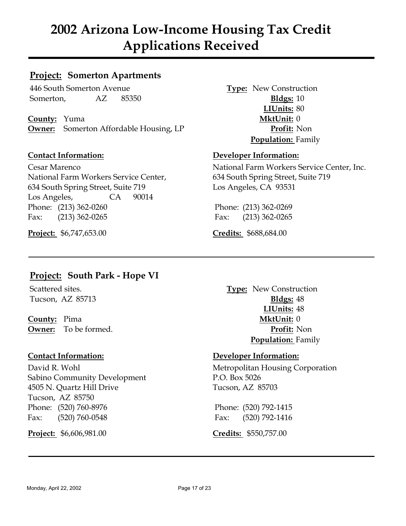## **Project: Somerton Apartments**

446 South Somerton Avenue **Type:** New Construction Somerton, AZ 85350 **Bldgs:** 10

**County:** Yuma **MktUnit:** 0 **Owner:** Somerton Affordable Housing, LP **Profit:** Non

National Farm Workers Service Center, 634 South Spring Street, Suite 719 634 South Spring Street, Suite 719 Los Angeles, CA 93531 Los Angeles, CA 90014 Phone: (213) 362-0260 Phone: (213) 362-0269 Fax: (213) 362-0265 Fax: (213) 362-0265

**Project:** \$6,747,653.00 **Credits:** \$688,684.00

**LIUnits:** 80 **Population:** Family

### **Contact Information: Developer Information:**

Cesar Marenco National Farm Workers Service Center, Inc.

# **Project: South Park - Hope VI**

**County:** Pima **MktUnit:** 0

Sabino Community Development P.O. Box 5026 4505 N. Quartz Hill Drive Tucson, AZ 85703 Tucson, AZ 85750 Phone: (520) 760-8976 Phone: (520) 792-1415 Fax: (520) 760-0548 Fax: (520) 792-1416

**Project:** \$6,606,981.00 **Credits:** \$550,757.00

Scattered sites. **Type:** New Construction Tucson, AZ 85713 **Bldgs:** 48 **LIUnits:** 48 **Owner:** To be formed. **Profit:** Non **Population:** Family

### **Contact Information: Developer Information:**

David R. Wohl Metropolitan Housing Corporation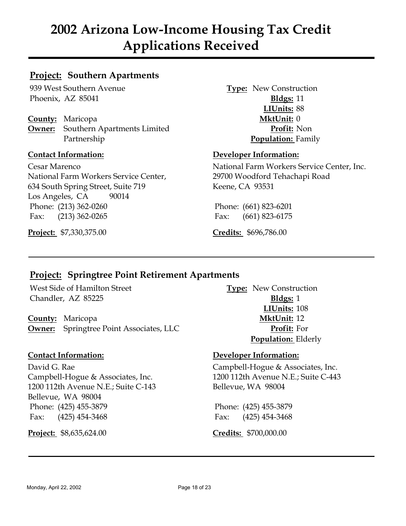# **Project: Southern Apartments**

939 West Southern Avenue **Type:** New Construction Phoenix, AZ 85041 **Bldgs:** 11

**County:** Maricopa **MktUnit:** 0 **Owner:** Southern Apartments Limited **Profit:** Non Partnership **Population:** Family

National Farm Workers Service Center, 29700 Woodford Tehachapi Road 634 South Spring Street, Suite 719 Keene, CA 93531 Los Angeles, CA 90014 Phone: (213) 362-0260 Phone: (661) 823-6201 Fax: (213) 362-0265 Fax: (661) 823-6175

**Project:** \$7,330,375.00 **Credits:** \$696,786.00

**LIUnits:** 88

### **Contact Information: Developer Information:**

Cesar Marenco National Farm Workers Service Center, Inc.

# **Project: Springtree Point Retirement Apartments**

West Side of Hamilton Street **Type:** New Construction Chandler, AZ 85225 **Bldgs:** 1

**County:** Maricopa **MktUnit:** 12 **Owner:** Springtree Point Associates, LLC **Profit:** For

David G. Rae Campbell-Hogue & Associates, Inc. 1200 112th Avenue N.E.; Suite C-143 Bellevue, WA 98004 Bellevue, WA 98004 Phone: (425) 455-3879 Phone: (425) 455-3879 Fax: (425) 454-3468 Fax: (425) 454-3468

**Project:** \$8,635,624.00 **Credits:** \$700,000.00

**LIUnits:** 108 **Population:** Elderly

### **Contact Information: Developer Information:**

Campbell-Hogue & Associates, Inc. 1200 112th Avenue N.E.; Suite C-443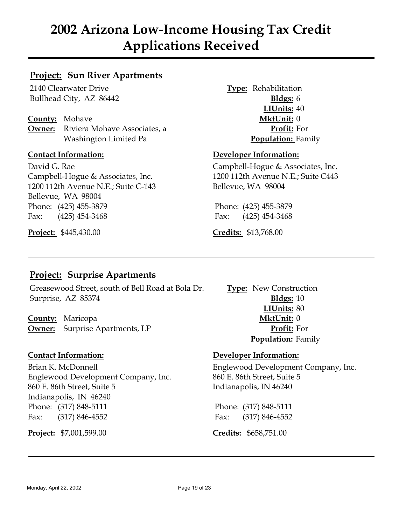## **Project: Sun River Apartments**

2140 Clearwater Drive **Type:** Rehabilitation Bullhead City, AZ 86442 **Bldgs:** 6

**County:** Mohave **MktUnit:** 0 **Owner:** Riviera Mohave Associates, a **Profit:** For Washington Limited Pa **Population:** Family

David G. Rae Campbell-Hogue & Associates, Inc. Campbell-Hogue & Associates, Inc. 1200 112th Avenue N.E.; Suite C443 1200 112th Avenue N.E.; Suite C-143 Bellevue, WA 98004 Bellevue, WA 98004 Phone: (425) 455-3879 Phone: (425) 455-3879 Fax: (425) 454-3468 Fax: (425) 454-3468

**Project:** \$445,430.00 **Credits:** \$13,768.00

**LIUnits:** 40

### **Contact Information: Developer Information:**

# **Project: Surprise Apartments**

Greasewood Street, south of Bell Road at Bola Dr. **Type:** New Construction Surprise, AZ 85374 **Bldgs:** 10

**County:** Maricopa **MktUnit:** 0 **Owner:** Surprise Apartments, LP **Profit:** For

Englewood Development Company, Inc. 860 E. 86th Street, Suite 5 860 E. 86th Street, Suite 5 Indianapolis, IN 46240 Indianapolis, IN 46240 Phone: (317) 848-5111 Phone: (317) 848-5111 Fax: (317) 846-4552 Fax: (317) 846-4552

**Project:** \$7,001,599.00 **Credits:** \$658,751.00

**LIUnits:** 80 **Population:** Family

### **Contact Information: Developer Information:**

Brian K. McDonnell Englewood Development Company, Inc.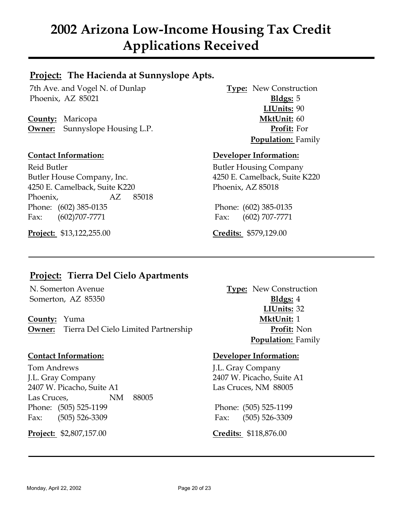# **Project: The Hacienda at Sunnyslope Apts.**

7th Ave. and Vogel N. of Dunlap **Type:** New Construction Phoenix, AZ 85021 **Bldgs:** 5

**County:** Maricopa **MktUnit:** 60 **Owner:** Sunnyslope Housing L.P. **Profit:** For

Reid Butler **Butler Butler Housing Company** Butler House Company, Inc. 4250 E. Camelback, Suite K220 4250 E. Camelback, Suite K220 Phoenix, AZ 85018 Phoenix, AZ 85018 Phone: (602) 385-0135 Phone: (602) 385-0135 Fax: (602)707-7771 Fax: (602) 707-7771

**Project:** \$13,122,255.00 **Credits:** \$579,129.00

**LIUnits:** 90 **Population:** Family

### **Contact Information: Developer Information:**

# **Project: Tierra Del Cielo Apartments**

Somerton, AZ 85350 **Bldgs:** 4

**County:** Yuma **MktUnit:** 1 **Owner:** Tierra Del Cielo Limited Partnership **Profit:** Non

Tom Andrews J.L. Gray Company J.L. Gray Company 2407 W. Picacho, Suite A1 2407 W. Picacho, Suite A1 Las Cruces, NM 88005 Las Cruces, NM 88005 Phone: (505) 525-1199 Phone: (505) 525-1199 Fax: (505) 526-3309 Fax: (505) 526-3309

**Project:** \$2,807,157.00 **Credits:** \$118,876.00

N. Somerton Avenue **Type:** New Construction **LIUnits:** 32 **Population:** Family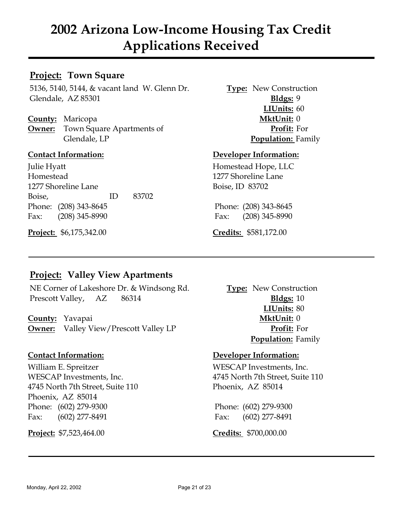## **Project: Town Square**

5136, 5140, 5144, & vacant land W. Glenn Dr. **Type:** New Construction Glendale, AZ 85301 **Bldgs:** 9

**County:** Maricopa **MktUnit:** 0 **Owner:** Town Square Apartments of **Profit:** For Glendale, LP **Population:** Family

Julie Hyatt Homestead Hope, LLC Homestead 1277 Shoreline Lane 1277 Shoreline Lane Boise, ID 83702 Boise, ID 83702 Phone: (208) 343-8645 Phone: (208) 343-8645 Fax: (208) 345-8990 Fax: (208) 345-8990

**Project:** \$6,175,342.00 **Credits:** \$581,172.00

**LIUnits:** 60

### **Contact Information: Developer Information:**

# **Project: Valley View Apartments**

NE Corner of Lakeshore Dr. & Windsong Rd. **Type:** New Construction Prescott Valley, AZ 86314 **Bldgs:** 10

**County:** Yavapai **MktUnit:** 0 **Owner:** Valley View/Prescott Valley LP **Profit:** For

William E. Spreitzer WESCAP Investments, Inc. 4745 North 7th Street, Suite 110 Phoenix, AZ 85014 Phoenix, AZ 85014 Phone: (602) 279-9300 Phone: (602) 279-9300 Fax: (602) 277-8491 Fax: (602) 277-8491

**Project:** \$7,523,464.00 **Credits:** \$700,000.00

**LIUnits:** 80 **Population:** Family

### **Contact Information: Developer Information:**

WESCAP Investments, Inc.  $4745$  North 7th Street, Suite 110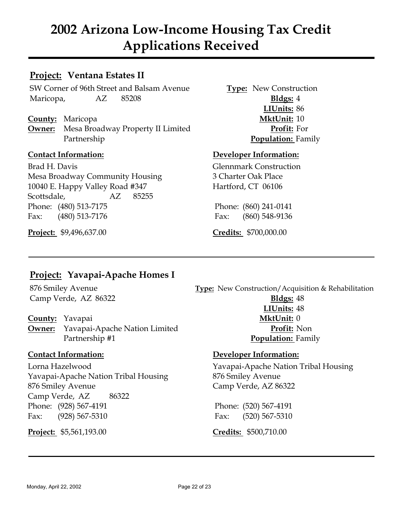## **Project: Ventana Estates II**

SW Corner of 96th Street and Balsam Avenue **Type:** New Construction Maricopa, AZ 85208 **Bldgs:** 4

**County:** Maricopa **MktUnit:** 10 **Owner:** Mesa Broadway Property II Limited **Profit:** For Partnership **Population:** Family

Brad H. Davis Glennmark Construction Mesa Broadway Community Housing 3 Charter Oak Place 10040 E. Happy Valley Road #347 Hartford, CT 06106 Scottsdale, AZ 85255 Phone: (480) 513-7175 Phone: (860) 241-0141 Fax: (480) 513-7176 Fax: (860) 548-9136

**Project:** \$9,496,637.00 **Credits:** \$700,000.00

**LIUnits:** 86

### **Contact Information: Developer Information:**

# **Project: Yavapai-Apache Homes I**

**County:** Yavapai **MktUnit:** 0 **Owner:** Yavapai-Apache Nation Limited **Profit:** Non

Lorna Hazelwood Yavapai-Apache Nation Tribal Housing Yavapai-Apache Nation Tribal Housing 876 Smiley Avenue 876 Smiley Avenue Camp Verde, AZ 86322 Camp Verde, AZ 86322 Phone: (928) 567-4191 Phone: (520) 567-4191 Fax: (928) 567-5310 Fax: (520) 567-5310

**Project:** \$5,561,193.00 **Credits:** \$500,710.00

876 Smiley Avenue **Type:** New Construction/Acquisition & Rehabilitation Camp Verde, AZ 86322 **Bldgs:** 48 **LIUnits:** 48 Partnership #1 **Population:** Family